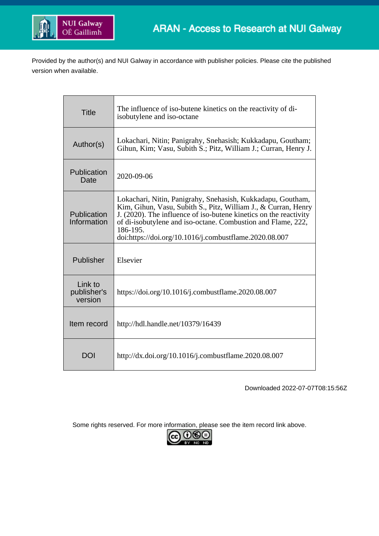

Provided by the author(s) and NUI Galway in accordance with publisher policies. Please cite the published version when available.

| <b>Title</b>                      | The influence of iso-butene kinetics on the reactivity of di-<br>isobutylene and iso-octane                                                                                                                                                                                                                                              |  |  |
|-----------------------------------|------------------------------------------------------------------------------------------------------------------------------------------------------------------------------------------------------------------------------------------------------------------------------------------------------------------------------------------|--|--|
| Author(s)                         | Lokachari, Nitin; Panigrahy, Snehasish; Kukkadapu, Goutham;<br>Gihun, Kim; Vasu, Subith S.; Pitz, William J.; Curran, Henry J.                                                                                                                                                                                                           |  |  |
| Publication<br>Date               | 2020-09-06                                                                                                                                                                                                                                                                                                                               |  |  |
| Publication<br>Information        | Lokachari, Nitin, Panigrahy, Snehasish, Kukkadapu, Goutham,<br>Kim, Gihun, Vasu, Subith S., Pitz, William J., & Curran, Henry<br>J. (2020). The influence of iso-butene kinetics on the reactivity<br>of di-isobutylene and iso-octane. Combustion and Flame, 222,<br>186-195.<br>doi:https://doi.org/10.1016/j.combustflame.2020.08.007 |  |  |
| Publisher                         | Elsevier                                                                                                                                                                                                                                                                                                                                 |  |  |
| Link to<br>publisher's<br>version | https://doi.org/10.1016/j.combustflame.2020.08.007                                                                                                                                                                                                                                                                                       |  |  |
| Item record                       | http://hdl.handle.net/10379/16439                                                                                                                                                                                                                                                                                                        |  |  |
| <b>DOI</b>                        | http://dx.doi.org/10.1016/j.combustflame.2020.08.007                                                                                                                                                                                                                                                                                     |  |  |

Downloaded 2022-07-07T08:15:56Z

Some rights reserved. For more information, please see the item record link above.

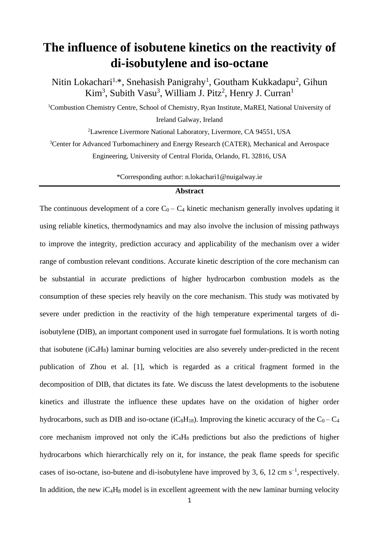# **The influence of isobutene kinetics on the reactivity of di-isobutylene and iso-octane**

Nitin Lokachari<sup>1,\*</sup>, Snehasish Panigrahy<sup>1</sup>, Goutham Kukkadapu<sup>2</sup>, Gihun Kim<sup>3</sup>, Subith Vasu<sup>3</sup>, William J. Pitz<sup>2</sup>, Henry J. Curran<sup>1</sup>

<sup>1</sup>Combustion Chemistry Centre, School of Chemistry, Ryan Institute, MaREI, National University of Ireland Galway, Ireland

<sup>2</sup>Lawrence Livermore National Laboratory, Livermore, CA 94551, USA

<sup>3</sup>Center for Advanced Turbomachinery and Energy Research (CATER), Mechanical and Aerospace Engineering, University of Central Florida, Orlando, FL 32816, USA

\*Corresponding author: n.lokachari1@nuigalway.ie

# **Abstract**

The continuous development of a core  $C_0 - C_4$  kinetic mechanism generally involves updating it using reliable kinetics, thermodynamics and may also involve the inclusion of missing pathways to improve the integrity, prediction accuracy and applicability of the mechanism over a wider range of combustion relevant conditions. Accurate kinetic description of the core mechanism can be substantial in accurate predictions of higher hydrocarbon combustion models as the consumption of these species rely heavily on the core mechanism. This study was motivated by severe under prediction in the reactivity of the high temperature experimental targets of diisobutylene (DIB), an important component used in surrogate fuel formulations. It is worth noting that isobutene (iC4H8) laminar burning velocities are also severely under-predicted in the recent publication of Zhou et al. [1], which is regarded as a critical fragment formed in the decomposition of DIB, that dictates its fate. We discuss the latest developments to the isobutene kinetics and illustrate the influence these updates have on the oxidation of higher order hydrocarbons, such as DIB and iso-octane (iC<sub>8</sub>H<sub>18</sub>). Improving the kinetic accuracy of the  $C_0 - C_4$ core mechanism improved not only the  $iC_4H_8$  predictions but also the predictions of higher hydrocarbons which hierarchically rely on it, for instance, the peak flame speeds for specific cases of iso-octane, iso-butene and di-isobutylene have improved by 3, 6, 12 cm  $s^{-1}$ , respectively. In addition, the new  $iC_4H_8$  model is in excellent agreement with the new laminar burning velocity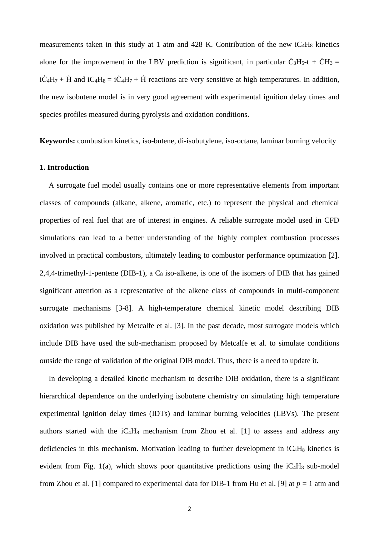measurements taken in this study at 1 atm and 428 K. Contribution of the new  $iC_4H_8$  kinetics alone for the improvement in the LBV prediction is significant, in particular  $\dot{C}_3H_5-t + \dot{C}H_3 =$  $i\dot{C}_4H_7 + \dot{H}$  and  $iC_4H_8 = i\dot{C}_4H_7 + \dot{H}$  reactions are very sensitive at high temperatures. In addition, the new isobutene model is in very good agreement with experimental ignition delay times and species profiles measured during pyrolysis and oxidation conditions.

**Keywords:** combustion kinetics, iso-butene, di-isobutylene, iso-octane, laminar burning velocity

# **1. Introduction**

A surrogate fuel model usually contains one or more representative elements from important classes of compounds (alkane, alkene, aromatic, etc.) to represent the physical and chemical properties of real fuel that are of interest in engines. A reliable surrogate model used in CFD simulations can lead to a better understanding of the highly complex combustion processes involved in practical combustors, ultimately leading to combustor performance optimization [2]. 2,4,4-trimethyl-1-pentene (DIB-1), a  $C_8$  iso-alkene, is one of the isomers of DIB that has gained significant attention as a representative of the alkene class of compounds in multi-component surrogate mechanisms [3-8]. A high-temperature chemical kinetic model describing DIB oxidation was published by Metcalfe et al. [3]. In the past decade, most surrogate models which include DIB have used the sub-mechanism proposed by Metcalfe et al. to simulate conditions outside the range of validation of the original DIB model. Thus, there is a need to update it.

In developing a detailed kinetic mechanism to describe DIB oxidation, there is a significant hierarchical dependence on the underlying isobutene chemistry on simulating high temperature experimental ignition delay times (IDTs) and laminar burning velocities (LBVs). The present authors started with the  $iC_4H_8$  mechanism from Zhou et al. [1] to assess and address any deficiencies in this mechanism. Motivation leading to further development in  $iC_4H_8$  kinetics is evident from Fig. 1(a), which shows poor quantitative predictions using the  $iC_4H_8$  sub-model from Zhou et al. [1] compared to experimental data for DIB-1 from Hu et al. [9] at *p* = 1 atm and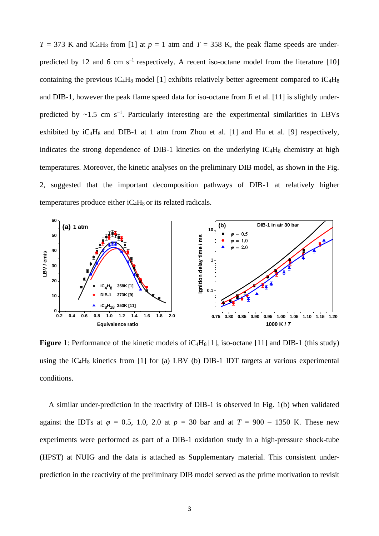$T = 373$  K and iC<sub>4</sub>H<sub>8</sub> from [1] at  $p = 1$  atm and  $T = 358$  K, the peak flame speeds are underpredicted by 12 and 6 cm  $s^{-1}$  respectively. A recent iso-octane model from the literature [10] containing the previous  $iC_4H_8$  model [1] exhibits relatively better agreement compared to  $iC_4H_8$ and DIB-1, however the peak flame speed data for iso-octane from Ji et al. [11] is slightly underpredicted by  $\sim$ 1.5 cm s<sup>-1</sup>. Particularly interesting are the experimental similarities in LBVs exhibited by  $iC_4H_8$  and DIB-1 at 1 atm from Zhou et al. [1] and Hu et al. [9] respectively, indicates the strong dependence of DIB-1 kinetics on the underlying  $iC_4H_8$  chemistry at high temperatures. Moreover, the kinetic analyses on the preliminary DIB model, as shown in the Fig. 2, suggested that the important decomposition pathways of DIB-1 at relatively higher temperatures produce either  $iC_4H_8$  or its related radicals.



**Figure 1**: Performance of the kinetic models of iC<sub>4</sub>H<sub>8</sub> [1], iso-octane [11] and DIB-1 (this study) using the  $iC_4H_8$  kinetics from [1] for (a) LBV (b) DIB-1 IDT targets at various experimental conditions.

A similar under-prediction in the reactivity of DIB-1 is observed in Fig. 1(b) when validated against the IDTs at  $\varphi = 0.5$ , 1.0, 2.0 at  $p = 30$  bar and at  $T = 900 - 1350$  K. These new experiments were performed as part of a DIB-1 oxidation study in a high-pressure shock-tube (HPST) at NUIG and the data is attached as Supplementary material. This consistent underprediction in the reactivity of the preliminary DIB model served as the prime motivation to revisit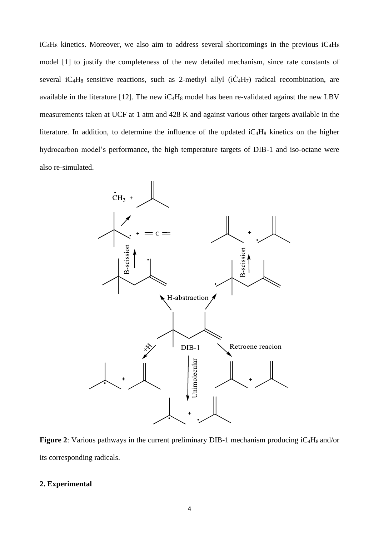$iC_4H_8$  kinetics. Moreover, we also aim to address several shortcomings in the previous  $iC_4H_8$ model [1] to justify the completeness of the new detailed mechanism, since rate constants of several iC<sub>4</sub>H<sub>8</sub> sensitive reactions, such as 2-methyl allyl  $(i\dot{C}_4H_7)$  radical recombination, are available in the literature [12]. The new  $iC_4H_8$  model has been re-validated against the new LBV measurements taken at UCF at 1 atm and 428 K and against various other targets available in the literature. In addition, to determine the influence of the updated  $iC_4H_8$  kinetics on the higher hydrocarbon model's performance, the high temperature targets of DIB-1 and iso-octane were also re-simulated.



Figure 2: Various pathways in the current preliminary DIB-1 mechanism producing iC<sub>4</sub>H<sub>8</sub> and/or its corresponding radicals.

# **2. Experimental**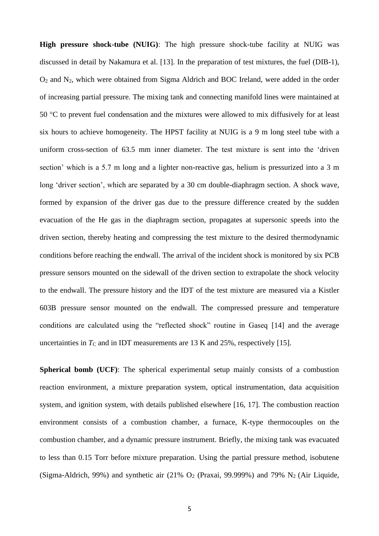**High pressure shock-tube (NUIG)**: The high pressure shock-tube facility at NUIG was discussed in detail by Nakamura et al. [13]. In the preparation of test mixtures, the fuel (DIB-1), O<sup>2</sup> and N2, which were obtained from Sigma Aldrich and BOC Ireland, were added in the order of increasing partial pressure. The mixing tank and connecting manifold lines were maintained at 50 °C to prevent fuel condensation and the mixtures were allowed to mix diffusively for at least six hours to achieve homogeneity. The HPST facility at NUIG is a 9 m long steel tube with a uniform cross-section of 63.5 mm inner diameter. The test mixture is sent into the 'driven section' which is a 5.7 m long and a lighter non-reactive gas, helium is pressurized into a 3 m long 'driver section', which are separated by a 30 cm double-diaphragm section. A shock wave, formed by expansion of the driver gas due to the pressure difference created by the sudden evacuation of the He gas in the diaphragm section, propagates at supersonic speeds into the driven section, thereby heating and compressing the test mixture to the desired thermodynamic conditions before reaching the endwall. The arrival of the incident shock is monitored by six PCB pressure sensors mounted on the sidewall of the driven section to extrapolate the shock velocity to the endwall. The pressure history and the IDT of the test mixture are measured via a Kistler 603B pressure sensor mounted on the endwall. The compressed pressure and temperature conditions are calculated using the "reflected shock" routine in Gaseq [14] and the average uncertainties in  $T_c$  and in IDT measurements are 13 K and 25%, respectively [15].

**Spherical bomb (UCF)**: The spherical experimental setup mainly consists of a combustion reaction environment, a mixture preparation system, optical instrumentation, data acquisition system, and ignition system, with details published elsewhere [16, 17]. The combustion reaction environment consists of a combustion chamber, a furnace, K-type thermocouples on the combustion chamber, and a dynamic pressure instrument. Briefly, the mixing tank was evacuated to less than 0.15 Torr before mixture preparation. Using the partial pressure method, isobutene (Sigma-Aldrich, 99%) and synthetic air  $(21\%$  O<sub>2</sub> (Praxai, 99.999%) and 79% N<sub>2</sub> (Air Liquide,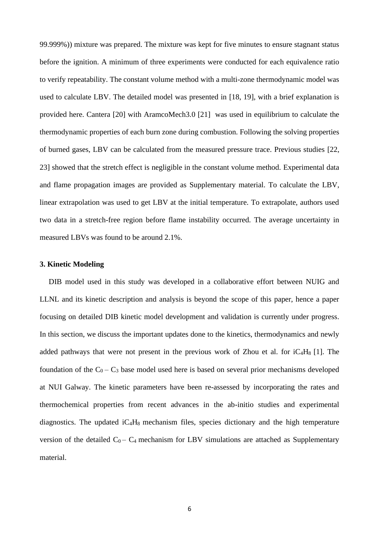99.999%)) mixture was prepared. The mixture was kept for five minutes to ensure stagnant status before the ignition. A minimum of three experiments were conducted for each equivalence ratio to verify repeatability. The constant volume method with a multi-zone thermodynamic model was used to calculate LBV. The detailed model was presented in [18, 19], with a brief explanation is provided here. Cantera [20] with AramcoMech3.0 [21] was used in equilibrium to calculate the thermodynamic properties of each burn zone during combustion. Following the solving properties of burned gases, LBV can be calculated from the measured pressure trace. Previous studies [22, 23] showed that the stretch effect is negligible in the constant volume method. Experimental data and flame propagation images are provided as Supplementary material. To calculate the LBV, linear extrapolation was used to get LBV at the initial temperature. To extrapolate, authors used two data in a stretch-free region before flame instability occurred. The average uncertainty in measured LBVs was found to be around 2.1%.

#### **3. Kinetic Modeling**

DIB model used in this study was developed in a collaborative effort between NUIG and LLNL and its kinetic description and analysis is beyond the scope of this paper, hence a paper focusing on detailed DIB kinetic model development and validation is currently under progress. In this section, we discuss the important updates done to the kinetics, thermodynamics and newly added pathways that were not present in the previous work of Zhou et al. for  $iC_4H_8$  [1]. The foundation of the  $C_0 - C_3$  base model used here is based on several prior mechanisms developed at NUI Galway. The kinetic parameters have been re-assessed by incorporating the rates and thermochemical properties from recent advances in the ab-initio studies and experimental diagnostics. The updated  $iC_4H_8$  mechanism files, species dictionary and the high temperature version of the detailed  $C_0 - C_4$  mechanism for LBV simulations are attached as Supplementary material.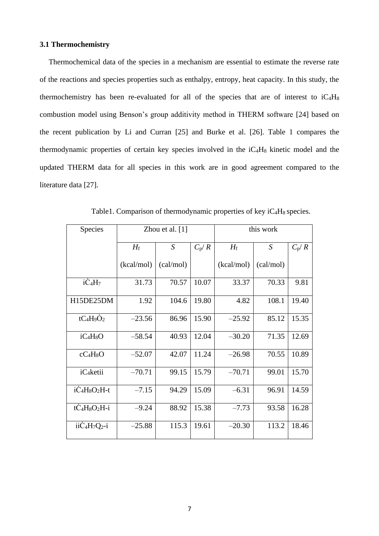## **3.1 Thermochemistry**

Thermochemical data of the species in a mechanism are essential to estimate the reverse rate of the reactions and species properties such as enthalpy, entropy, heat capacity. In this study, the thermochemistry has been re-evaluated for all of the species that are of interest to  $iC_4H_8$ combustion model using Benson's group additivity method in THERM software [24] based on the recent publication by Li and Curran [25] and Burke et al. [26]. Table 1 compares the thermodynamic properties of certain key species involved in the  $iC_4H_8$  kinetic model and the updated THERM data for all species in this work are in good agreement compared to the literature data [27].

| Species                | Zhou et al. $[1]$ |           |         | this work   |                  |           |
|------------------------|-------------------|-----------|---------|-------------|------------------|-----------|
|                        | $H_{\rm f}$       | S         | $C_p/R$ | $H_{\rm f}$ | $\boldsymbol{S}$ | $C_{p}/R$ |
|                        | (kcal/mol)        | (cal/mol) |         | (kcal/mol)  | (cal/mol)        |           |
| $i\dot{C}_4H_7$        | 31.73             | 70.57     | 10.07   | 33.37       | 70.33            | 9.81      |
| H15DE25DM              | 1.92              | 104.6     | 19.80   | 4.82        | 108.1            | 19.40     |
| $tC_4H_9O_2$           | $-23.56$          | 86.96     | 15.90   | $-25.92$    | 85.12            | 15.35     |
| $iC_4H_8O$             | $-58.54$          | 40.93     | 12.04   | $-30.20$    | 71.35            | 12.69     |
| $cC_4H_8O$             | $-52.07$          | 42.07     | 11.24   | $-26.98$    | 70.55            | 10.89     |
| iC <sub>4</sub> ketii  | $-70.71$          | 99.15     | 15.79   | $-70.71$    | 99.01            | 15.70     |
| $i\dot{C}_4H_8O_2H-t$  | $-7.15$           | 94.29     | 15.09   | $-6.31$     | 96.91            | 14.59     |
| $t\dot{C}_4H_8O_2H$ -i | $-9.24$           | 88.92     | 15.38   | $-7.73$     | 93.58            | 16.28     |
| $ii\text{C}_4H_7Q_2-i$ | $-25.88$          | 115.3     | 19.61   | $-20.30$    | 113.2            | 18.46     |

Table1. Comparison of thermodynamic properties of key  $iC_4H_8$  species.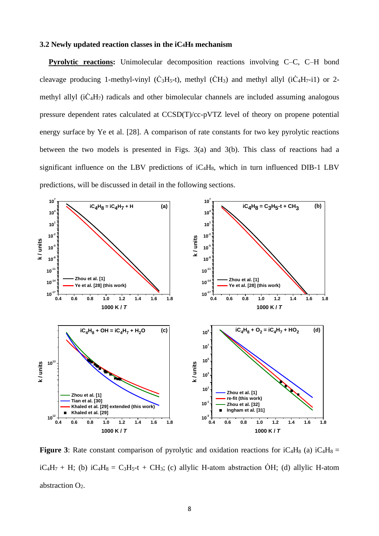#### **3.2 Newly updated reaction classes in the iC4H<sup>8</sup> mechanism**

**Pyrolytic reactions:** Unimolecular decomposition reactions involving C–C, C–H bond cleavage producing 1-methyl-vinyl ( $\dot{C}_3H_5-t$ ), methyl ( $\dot{C}H_3$ ) and methyl allyl ( $i\dot{C}_4H_7-i1$ ) or 2methyl allyl  $(i\dot{C}_4H_7)$  radicals and other bimolecular channels are included assuming analogous pressure dependent rates calculated at CCSD(T)/cc-pVTZ level of theory on propene potential energy surface by Ye et al. [28]. A comparison of rate constants for two key pyrolytic reactions between the two models is presented in Figs. 3(a) and 3(b). This class of reactions had a significant influence on the LBV predictions of  $iC_4H_8$ , which in turn influenced DIB-1 LBV predictions, will be discussed in detail in the following sections.



**Figure 3**: Rate constant comparison of pyrolytic and oxidation reactions for  $iC_4H_8$  (a)  $iC_4H_8$  =  $iC_4H_7 + H$ ; (b)  $iC_4H_8 = C_3H_5-t + CH_3$ ; (c) allylic H-atom abstraction  $\dot{O}H$ ; (d) allylic H-atom abstraction O<sub>2</sub>.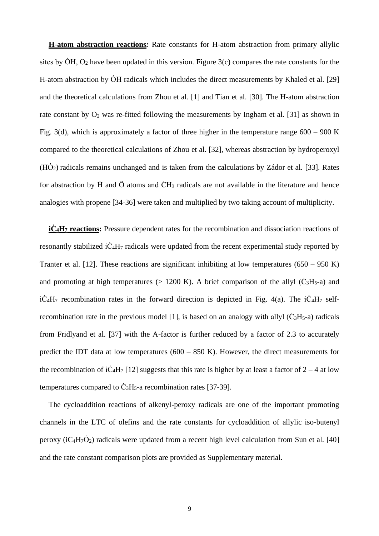**H-atom abstraction reactions***:* Rate constants for H-atom abstraction from primary allylic sites by  $\dot{\text{OH}}$ ,  $\text{O}_2$  have been updated in this version. Figure 3(c) compares the rate constants for the H-atom abstraction by  $\dot{\text{OH}}$  radicals which includes the direct measurements by Khaled et al. [29] and the theoretical calculations from Zhou et al. [1] and Tian et al. [30]. The H-atom abstraction rate constant by  $O_2$  was re-fitted following the measurements by Ingham et al. [31] as shown in Fig. 3(d), which is approximately a factor of three higher in the temperature range  $600 - 900$  K compared to the theoretical calculations of Zhou et al. [32], whereas abstraction by hydroperoxyl  $(H\dot{O}_2)$  radicals remains unchanged and is taken from the calculations by Zádor et al. [33]. Rates for abstraction by  $\dot{H}$  and  $\ddot{O}$  atoms and  $\dot{C}H_3$  radicals are not available in the literature and hence analogies with propene [34-36] were taken and multiplied by two taking account of multiplicity.

**iĊ4H<sup>7</sup> reactions:** Pressure dependent rates for the recombination and dissociation reactions of resonantly stabilized  $i\dot{C}_4H_7$  radicals were updated from the recent experimental study reported by Tranter et al. [12]. These reactions are significant inhibiting at low temperatures  $(650 - 950 \text{ K})$ and promoting at high temperatures ( $> 1200$  K). A brief comparison of the allyl ( $\dot{C}_3H_5$ -a) and  $i\dot{C}_4H_7$  recombination rates in the forward direction is depicted in Fig. 4(a). The  $i\dot{C}_4H_7$  selfrecombination rate in the previous model [1], is based on an analogy with allyl  $(\dot{C}_3H_5-a)$  radicals from Fridlyand et al. [37] with the A-factor is further reduced by a factor of 2.3 to accurately predict the IDT data at low temperatures  $(600 - 850 \text{ K})$ . However, the direct measurements for the recombination of iC<sub>4</sub>H<sub>7</sub> [12] suggests that this rate is higher by at least a factor of  $2 - 4$  at low temperatures compared to  $\dot{C}_3H_5$ -a recombination rates [37-39].

The cycloaddition reactions of alkenyl-peroxy radicals are one of the important promoting channels in the LTC of olefins and the rate constants for cycloaddition of allylic iso-butenyl peroxy ( $iC_4H_7O_2$ ) radicals were updated from a recent high level calculation from Sun et al. [40] and the rate constant comparison plots are provided as Supplementary material.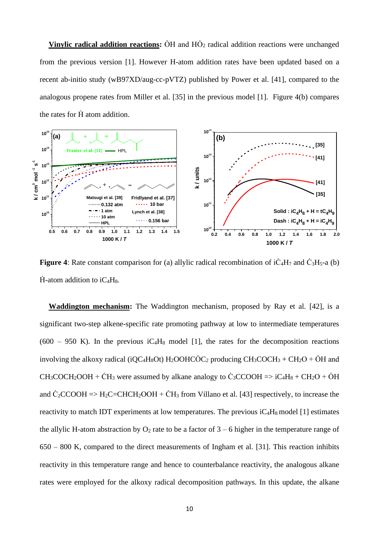**Vinylic radical addition reactions:**  $\dot{\text{OH}}$  and  $\text{H}\dot{\text{O}}_2$  radical addition reactions were unchanged from the previous version [1]. However H-atom addition rates have been updated based on a recent ab-initio study (wB97XD/aug-cc-pVTZ) published by Power et al. [41], compared to the analogous propene rates from Miller et al. [35] in the previous model [1]. Figure 4(b) compares the rates for  $\dot{H}$  atom addition.



**Figure** 4: Rate constant comparison for (a) allylic radical recombination of  $i\dot{C}_4H_7$  and  $\dot{C}_3H_5$ -a (b)  $\dot{H}$ -atom addition to iC<sub>4</sub>H<sub>8</sub>.

**Waddington mechanism:** The Waddington mechanism, proposed by Ray et al. [42], is a significant two-step alkene-specific rate promoting pathway at low to intermediate temperatures  $(600 - 950)$  K). In the previous iC<sub>4</sub>H<sub>8</sub> model [1], the rates for the decomposition reactions involving the alkoxy radical (iQC<sub>4</sub>H<sub>8</sub>Ot) H<sub>2</sub>OOHCOC<sub>2</sub> producing CH<sub>3</sub>COCH<sub>3</sub> + CH<sub>2</sub>O + OH and  $CH_3COCH_2OOH + CH_3$  were assumed by alkane analogy to  $\dot{C}_3CCOOH \Rightarrow iC_4H_8 + CH_2O + OH$ and  $\dot{C}_2CCOOH \Rightarrow H_2C=CHCH_2OOH + \dot{C}H_3$  from Villano et al. [43] respectively, to increase the reactivity to match IDT experiments at low temperatures. The previous  $iC_4H_8$  model [1] estimates the allylic H-atom abstraction by  $O_2$  rate to be a factor of  $3 - 6$  higher in the temperature range of 650 – 800 K, compared to the direct measurements of Ingham et al. [31]. This reaction inhibits reactivity in this temperature range and hence to counterbalance reactivity, the analogous alkane rates were employed for the alkoxy radical decomposition pathways. In this update, the alkane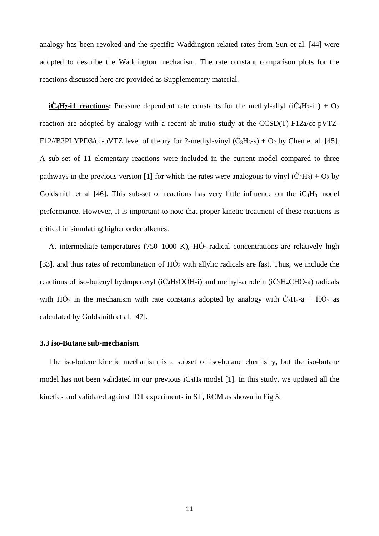analogy has been revoked and the specific Waddington-related rates from Sun et al. [44] were adopted to describe the Waddington mechanism. The rate constant comparison plots for the reactions discussed here are provided as Supplementary material.

**iC<sub>4</sub>H<sub>7</sub>-i1 reactions:** Pressure dependent rate constants for the methyl-allyl ( $i\dot{C}_4H_7-i1$ ) +  $O_2$ reaction are adopted by analogy with a recent ab-initio study at the CCSD(T)-F12a/cc-pVTZ-F12//B2PLYPD3/cc-pVTZ level of theory for 2-methyl-vinyl  $(\dot{C}_3H_5-s) + O_2$  by Chen et al. [45]. A sub-set of 11 elementary reactions were included in the current model compared to three pathways in the previous version [1] for which the rates were analogous to vinyl  $(\dot{C}_2H_3) + O_2$  by Goldsmith et al  $[46]$ . This sub-set of reactions has very little influence on the  $iC_4H_8$  model performance. However, it is important to note that proper kinetic treatment of these reactions is critical in simulating higher order alkenes.

At intermediate temperatures (750–1000 K),  $HO<sub>2</sub>$  radical concentrations are relatively high [33], and thus rates of recombination of  $H\dot{O}_2$  with allylic radicals are fast. Thus, we include the reactions of iso-butenyl hydroperoxyl ( $i\dot{C}_4H_6OOH$ -i) and methyl-acrolein ( $i\dot{C}_3H_4CHO$ -a) radicals with  $H\dot{O}_2$  in the mechanism with rate constants adopted by analogy with  $\dot{C}_3H_5-a + H\dot{O}_2$  as calculated by Goldsmith et al. [47].

#### **3.3 iso-Butane sub-mechanism**

The iso-butene kinetic mechanism is a subset of iso-butane chemistry, but the iso-butane model has not been validated in our previous iC4H<sup>8</sup> model [1]. In this study, we updated all the kinetics and validated against IDT experiments in ST, RCM as shown in Fig 5.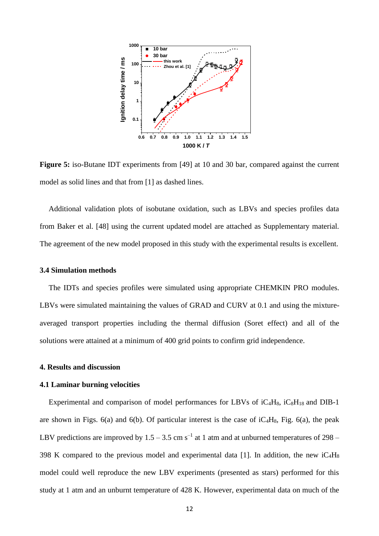

**Figure 5:** iso-Butane IDT experiments from [49] at 10 and 30 bar, compared against the current model as solid lines and that from [1] as dashed lines.

Additional validation plots of isobutane oxidation, such as LBVs and species profiles data from Baker et al. [48] using the current updated model are attached as Supplementary material. The agreement of the new model proposed in this study with the experimental results is excellent.

#### **3.4 Simulation methods**

The IDTs and species profiles were simulated using appropriate CHEMKIN PRO modules. LBVs were simulated maintaining the values of GRAD and CURV at 0.1 and using the mixtureaveraged transport properties including the thermal diffusion (Soret effect) and all of the solutions were attained at a minimum of 400 grid points to confirm grid independence.

#### **4. Results and discussion**

#### **4.1 Laminar burning velocities**

Experimental and comparison of model performances for LBVs of  $iC_4H_8$ ,  $iC_8H_{18}$  and DIB-1 are shown in Figs.  $6(a)$  and  $6(b)$ . Of particular interest is the case of  $1C_4H_8$ , Fig.  $6(a)$ , the peak LBV predictions are improved by  $1.5 - 3.5$  cm s<sup>-1</sup> at 1 atm and at unburned temperatures of 298 – 398 K compared to the previous model and experimental data [1]. In addition, the new iC4H<sup>8</sup> model could well reproduce the new LBV experiments (presented as stars) performed for this study at 1 atm and an unburnt temperature of 428 K. However, experimental data on much of the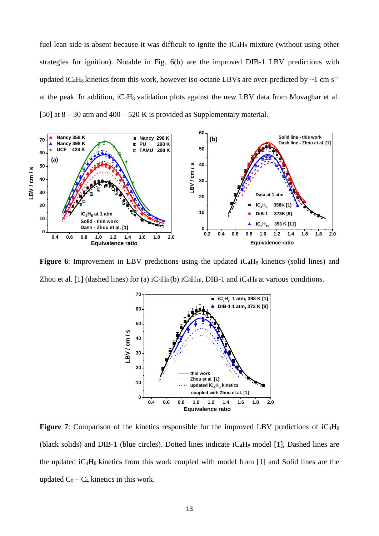fuel-lean side is absent because it was difficult to ignite the  $iC_4H_8$  mixture (without using other strategies for ignition). Notable in Fig. 6(b) are the improved DIB-1 LBV predictions with updated iC<sub>4</sub>H<sub>8</sub> kinetics from this work, however iso-octane LBVs are over-predicted by  $\sim$ 1 cm s<sup>-1</sup> at the peak. In addition,  $iC_4H_8$  validation plots against the new LBV data from Movaghar et al. [50] at  $8 - 30$  atm and  $400 - 520$  K is provided as Supplementary material.



**Figure 6**: Improvement in LBV predictions using the updated iC<sub>4</sub>H<sub>8</sub> kinetics (solid lines) and Zhou et al. [1] (dashed lines) for (a)  $iC_4H_8$  (b)  $iC_8H_{18}$ , DIB-1 and  $iC_4H_8$  at various conditions.



**Figure** 7: Comparison of the kinetics responsible for the improved LBV predictions of iC<sub>4</sub>H<sub>8</sub> (black solids) and DIB-1 (blue circles). Dotted lines indicate iC4H8 model [1], Dashed lines are the updated  $iC_4H_8$  kinetics from this work coupled with model from [1] and Solid lines are the updated  $C_0 - C_4$  kinetics in this work.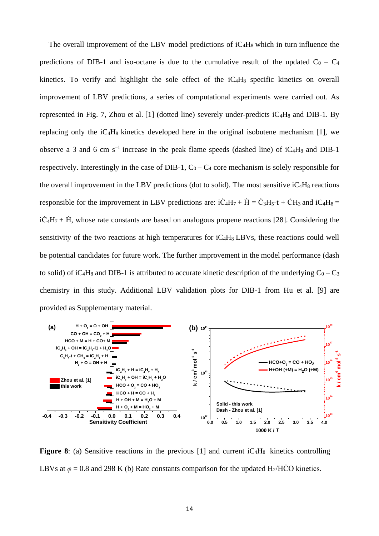The overall improvement of the LBV model predictions of  $iC_4H_8$  which in turn influence the predictions of DIB-1 and iso-octane is due to the cumulative result of the updated  $C_0 - C_4$ kinetics. To verify and highlight the sole effect of the iC<sub>4</sub>H<sub>8</sub> specific kinetics on overall improvement of LBV predictions, a series of computational experiments were carried out. As represented in Fig. 7, Zhou et al. [1] (dotted line) severely under-predicts  $iC_4H_8$  and DIB-1. By replacing only the  $iC_4H_8$  kinetics developed here in the original isobutene mechanism [1], we observe a 3 and 6 cm  $s^{-1}$  increase in the peak flame speeds (dashed line) of iC<sub>4</sub>H<sub>8</sub> and DIB-1 respectively. Interestingly in the case of DIB-1,  $C_0 - C_4$  core mechanism is solely responsible for the overall improvement in the LBV predictions (dot to solid). The most sensitive  $iC_4H_8$  reactions responsible for the improvement in LBV predictions are:  $i\dot{C}_4H_7 + \dot{H} = \dot{C}_3H_5-t + \dot{C}H_3$  and  $iC_4H_8 =$  $i\dot{C}_4H_7 + \dot{H}$ , whose rate constants are based on analogous propene reactions [28]. Considering the sensitivity of the two reactions at high temperatures for  $iC_4H_8$  LBVs, these reactions could well be potential candidates for future work. The further improvement in the model performance (dash to solid) of iC<sub>4</sub>H<sub>8</sub> and DIB-1 is attributed to accurate kinetic description of the underlying  $C_0 - C_3$ chemistry in this study. Additional LBV validation plots for DIB-1 from Hu et al. [9] are provided as Supplementary material.



**Figure 8**: (a) Sensitive reactions in the previous  $[1]$  and current  $iC_4H_8$  kinetics controlling LBVs at  $\varphi$  = 0.8 and 298 K (b) Rate constants comparison for the updated H<sub>2</sub>/HCO kinetics.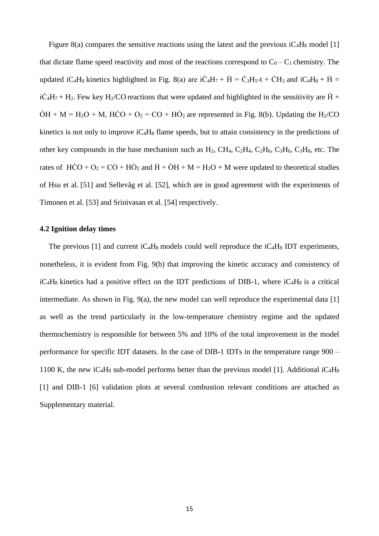Figure 8(a) compares the sensitive reactions using the latest and the previous  $iC_4H_8$  model [1] that dictate flame speed reactivity and most of the reactions correspond to  $C_0 - C_1$  chemistry. The updated iC<sub>4</sub>H<sub>8</sub> kinetics highlighted in Fig. 8(a) are iC<sub>4</sub>H<sub>7</sub> +  $\dot{H} = \dot{C}_3H_5-t + \dot{C}H_3$  and iC<sub>4</sub>H<sub>8</sub> +  $\dot{H} =$  $i\dot{C}_4H_7 + H_2$ . Few key H<sub>2</sub>/CO reactions that were updated and highlighted in the sensitivity are  $\dot{H}$  +  $\dot{O}H + M = H_2O + M$ ,  $\dot{H}\dot{C}O + O_2 = CO + H\dot{O}_2$  are represented in Fig. 8(b). Updating the H<sub>2</sub>/CO kinetics is not only to improve  $iC_4H_8$  flame speeds, but to attain consistency in the predictions of other key compounds in the base mechanism such as  $H_2$ , CH<sub>4</sub>, C<sub>2</sub>H<sub>4</sub>, C<sub>2</sub>H<sub>6</sub>, C<sub>3</sub>H<sub>6</sub>, C<sub>3</sub>H<sub>8</sub>, etc. The rates of  $H\dot{C}O + O_2 = CO + H\dot{O}_2$  and  $\dot{H} + \dot{O}H + M = H_2O + M$  were updated to theoretical studies of Hsu et al. [51] and Sellevåg et al. [52], which are in good agreement with the experiments of Timonen et al. [53] and Srinivasan et al. [54] respectively.

# **4.2 Ignition delay times**

The previous [1] and current  $iC_4H_8$  models could well reproduce the  $iC_4H_8$  IDT experiments, nonetheless, it is evident from Fig. 9(b) that improving the kinetic accuracy and consistency of  $iC_4H_8$  kinetics had a positive effect on the IDT predictions of DIB-1, where  $iC_4H_8$  is a critical intermediate. As shown in Fig. 9(a), the new model can well reproduce the experimental data [1] as well as the trend particularly in the low-temperature chemistry regime and the updated thermochemistry is responsible for between 5% and 10% of the total improvement in the model performance for specific IDT datasets. In the case of DIB-1 IDTs in the temperature range 900 – 1100 K, the new  $iC_4H_8$  sub-model performs better than the previous model [1]. Additional  $iC_4H_8$ [1] and DIB-1 [6] validation plots at several combustion relevant conditions are attached as Supplementary material.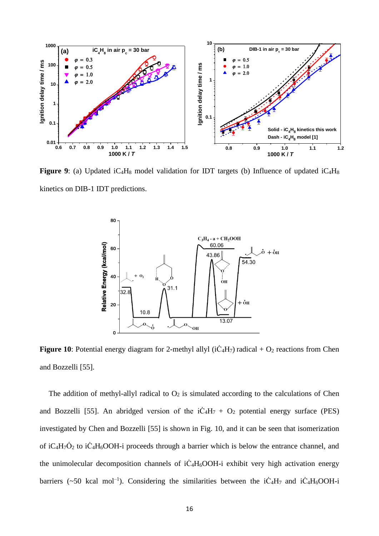

**Figure 9**: (a) Updated iC<sub>4</sub>H<sub>8</sub> model validation for IDT targets (b) Influence of updated iC<sub>4</sub>H<sub>8</sub> kinetics on DIB-1 IDT predictions.



Figure 10: Potential energy diagram for 2-methyl allyl (iC<sub>4</sub>H<sub>7</sub>) radical + O<sub>2</sub> reactions from Chen and Bozzelli [55].

The addition of methyl-allyl radical to  $O_2$  is simulated according to the calculations of Chen and Bozzelli [55]. An abridged version of the  $i\dot{C}_4H_7 + O_2$  potential energy surface (PES) investigated by Chen and Bozzelli [55] is shown in Fig. 10, and it can be seen that isomerization of iC<sub>4</sub>H<sub>7</sub> $\dot{O}_2$  to iC<sub>4</sub>H<sub>6</sub>OOH-i proceeds through a barrier which is below the entrance channel, and the unimolecular decomposition channels of  $i\dot{C}_4H_6OOH$ -i exhibit very high activation energy barriers (~50 kcal mol<sup>-1</sup>). Considering the similarities between the  $i\dot{C}_4H_7$  and  $i\dot{C}_4H_6OOH-i$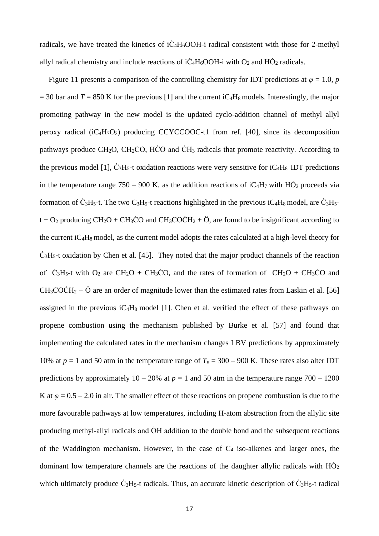radicals, we have treated the kinetics of  $i\dot{C}_4H_6OOH$ -i radical consistent with those for 2-methyl allyl radical chemistry and include reactions of  $i\dot{C}_4H_6OOH$ -i with  $O_2$  and  $H\dot{O}_2$  radicals.

Figure 11 presents a comparison of the controlling chemistry for IDT predictions at  $\varphi = 1.0$ , *p*  $=$  30 bar and *T* = 850 K for the previous [1] and the current iC<sub>4</sub>H<sub>8</sub> models. Interestingly, the major promoting pathway in the new model is the updated cyclo-addition channel of methyl allyl peroxy radical  $(iC_4H_7O_2)$  producing CCYCCOOC-t1 from ref. [40], since its decomposition pathways produce  $CH_2O$ ,  $CH_2CO$ ,  $H\dot{C}O$  and  $\dot{CH}_3$  radicals that promote reactivity. According to the previous model [1],  $\dot{C}_3H_5$ -t oxidation reactions were very sensitive for  $iC_4H_8$  IDT predictions in the temperature range 750 – 900 K, as the addition reactions of  $iC_4H_7$  with  $H\dot{O}_2$  proceeds via formation of  $\dot{C}_3H_5$ -t. The two C<sub>3</sub>H<sub>5</sub>-t reactions highlighted in the previous iC<sub>4</sub>H<sub>8</sub> model, are  $\dot{C}_3H_5$  $t + O_2$  producing CH<sub>2</sub>O + CH<sub>3</sub>CO and CH<sub>3</sub>COCH<sub>2</sub> + Ö, are found to be insignificant according to the current iC<sub>4</sub>H<sub>8</sub> model, as the current model adopts the rates calculated at a high-level theory for  $\dot{C}_3H_5$ -t oxidation by Chen et al. [45]. They noted that the major product channels of the reaction of  $\dot{C}_3H_5$ -t with O<sub>2</sub> are CH<sub>2</sub>O + CH<sub>3</sub>CO, and the rates of formation of CH<sub>2</sub>O + CH<sub>3</sub>CO and  $CH<sub>3</sub>COCH<sub>2</sub> + \ddot{O}$  are an order of magnitude lower than the estimated rates from Laskin et al. [56] assigned in the previous  $iC_4H_8$  model [1]. Chen et al. verified the effect of these pathways on propene combustion using the mechanism published by Burke et al. [57] and found that implementing the calculated rates in the mechanism changes LBV predictions by approximately 10% at  $p = 1$  and 50 atm in the temperature range of  $T_u = 300 - 900$  K. These rates also alter IDT predictions by approximately  $10 - 20\%$  at  $p = 1$  and 50 atm in the temperature range  $700 - 1200$ K at  $\varphi$  = 0.5 – 2.0 in air. The smaller effect of these reactions on propene combustion is due to the more favourable pathways at low temperatures, including H-atom abstraction from the allylic site producing methyl-allyl radicals and  $\ddot{O}$ H addition to the double bond and the subsequent reactions of the Waddington mechanism. However, in the case of  $C_4$  iso-alkenes and larger ones, the dominant low temperature channels are the reactions of the daughter allylic radicals with  $H\dot{O}_2$ which ultimately produce  $\dot{C}_3H_5$ -t radicals. Thus, an accurate kinetic description of  $\dot{C}_3H_5$ -t radical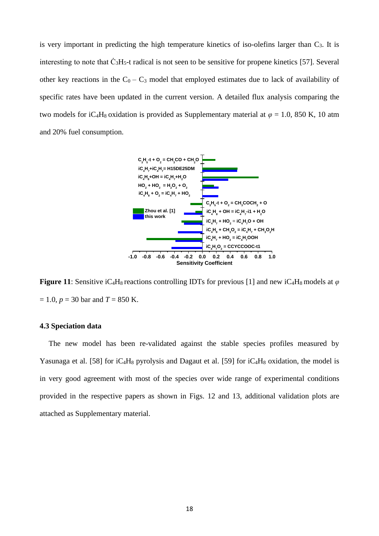is very important in predicting the high temperature kinetics of iso-olefins larger than  $C_3$ . It is interesting to note that  $\dot{C}_3H_5$ -t radical is not seen to be sensitive for propene kinetics [57]. Several other key reactions in the  $C_0 - C_3$  model that employed estimates due to lack of availability of specific rates have been updated in the current version. A detailed flux analysis comparing the two models for iC<sub>4</sub>H<sub>8</sub> oxidation is provided as Supplementary material at  $\varphi = 1.0$ , 850 K, 10 atm and 20% fuel consumption.



**Figure 11**: Sensitive iC4H8 reactions controlling IDTs for previous [1] and new iC4H8 models at *φ*  $= 1.0, p = 30$  bar and  $T = 850$  K.

#### **4.3 Speciation data**

The new model has been re-validated against the stable species profiles measured by Yasunaga et al. [58] for  $iC_4H_8$  pyrolysis and Dagaut et al. [59] for  $iC_4H_8$  oxidation, the model is in very good agreement with most of the species over wide range of experimental conditions provided in the respective papers as shown in Figs. 12 and 13, additional validation plots are attached as Supplementary material.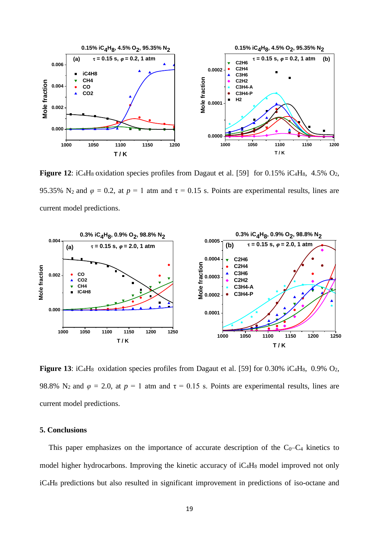

**Figure 12**:  $iC_4H_8$  oxidation species profiles from Dagaut et al. [59] for 0.15%  $iC_4H_8$ , 4.5%  $O_2$ , 95.35% N<sub>2</sub> and  $\varphi = 0.2$ , at  $p = 1$  atm and  $\tau = 0.15$  s. Points are experimental results, lines are current model predictions.



**Figure 13**:  $iC_4H_8$  oxidation species profiles from Dagaut et al. [59] for 0.30%  $iC_4H_8$ , 0.9%  $O_2$ , 98.8% N<sub>2</sub> and  $\varphi = 2.0$ , at  $p = 1$  atm and  $\tau = 0.15$  s. Points are experimental results, lines are current model predictions.

# **5. Conclusions**

This paper emphasizes on the importance of accurate description of the  $C_0-C_4$  kinetics to model higher hydrocarbons. Improving the kinetic accuracy of  $iC_4H_8$  model improved not only iC4H<sup>8</sup> predictions but also resulted in significant improvement in predictions of iso-octane and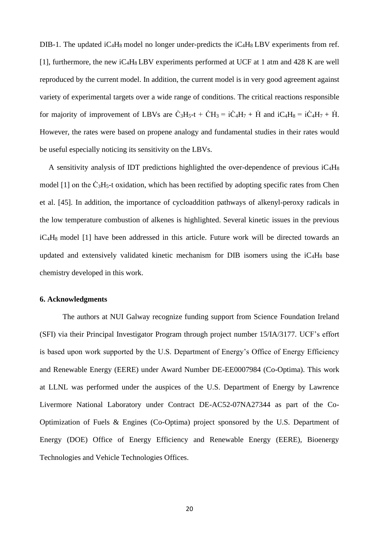DIB-1. The updated  $iC_4H_8$  model no longer under-predicts the  $iC_4H_8$  LBV experiments from ref. [1], furthermore, the new  $iC_4H_8$  LBV experiments performed at UCF at 1 atm and 428 K are well reproduced by the current model. In addition, the current model is in very good agreement against variety of experimental targets over a wide range of conditions. The critical reactions responsible for majority of improvement of LBVs are  $\dot{C}_3H_5-t + \dot{C}H_3 = i\dot{C}_4H_7 + \dot{H}$  and  $iC_4H_8 = i\dot{C}_4H_7 + \dot{H}$ . However, the rates were based on propene analogy and fundamental studies in their rates would be useful especially noticing its sensitivity on the LBVs.

A sensitivity analysis of IDT predictions highlighted the over-dependence of previous  $iC_4H_8$ model  $[1]$  on the  $\dot{C}_3H_5$ -t oxidation, which has been rectified by adopting specific rates from Chen et al. [45]. In addition, the importance of cycloaddition pathways of alkenyl-peroxy radicals in the low temperature combustion of alkenes is highlighted. Several kinetic issues in the previous iC4H8 model [1] have been addressed in this article. Future work will be directed towards an updated and extensively validated kinetic mechanism for DIB isomers using the  $iC_4H_8$  base chemistry developed in this work.

# **6. Acknowledgments**

The authors at NUI Galway recognize funding support from Science Foundation Ireland (SFI) via their Principal Investigator Program through project number 15/IA/3177. UCF's effort is based upon work supported by the U.S. Department of Energy's Office of Energy Efficiency and Renewable Energy (EERE) under Award Number DE-EE0007984 (Co-Optima). This work at LLNL was performed under the auspices of the U.S. Department of Energy by Lawrence Livermore National Laboratory under Contract DE-AC52-07NA27344 as part of the Co-Optimization of Fuels & Engines (Co-Optima) project sponsored by the U.S. Department of Energy (DOE) Office of Energy Efficiency and Renewable Energy (EERE), Bioenergy Technologies and Vehicle Technologies Offices.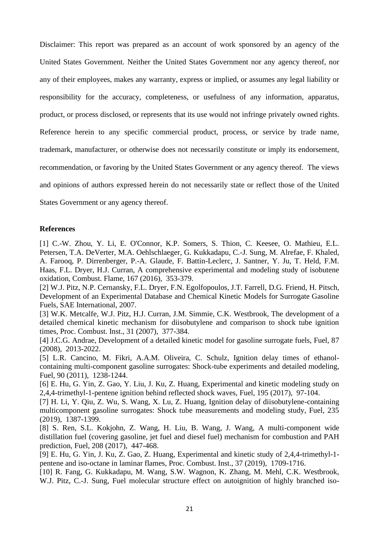Disclaimer: This report was prepared as an account of work sponsored by an agency of the United States Government. Neither the United States Government nor any agency thereof, nor any of their employees, makes any warranty, express or implied, or assumes any legal liability or responsibility for the accuracy, completeness, or usefulness of any information, apparatus, product, or process disclosed, or represents that its use would not infringe privately owned rights. Reference herein to any specific commercial product, process, or service by trade name, trademark, manufacturer, or otherwise does not necessarily constitute or imply its endorsement, recommendation, or favoring by the United States Government or any agency thereof. The views and opinions of authors expressed herein do not necessarily state or reflect those of the United States Government or any agency thereof.

## **References**

[1] C.-W. Zhou, Y. Li, E. O'Connor, K.P. Somers, S. Thion, C. Keesee, O. Mathieu, E.L. Petersen, T.A. DeVerter, M.A. Oehlschlaeger, G. Kukkadapu, C.-J. Sung, M. Alrefae, F. Khaled, A. Farooq, P. Dirrenberger, P.-A. Glaude, F. Battin-Leclerc, J. Santner, Y. Ju, T. Held, F.M. Haas, F.L. Dryer, H.J. Curran, A comprehensive experimental and modeling study of isobutene oxidation, Combust. Flame, 167 (2016), 353-379.

[2] W.J. Pitz, N.P. Cernansky, F.L. Dryer, F.N. Egolfopoulos, J.T. Farrell, D.G. Friend, H. Pitsch, Development of an Experimental Database and Chemical Kinetic Models for Surrogate Gasoline Fuels, SAE International, 2007.

[3] W.K. Metcalfe, W.J. Pitz, H.J. Curran, J.M. Simmie, C.K. Westbrook, The development of a detailed chemical kinetic mechanism for diisobutylene and comparison to shock tube ignition times, Proc. Combust. Inst., 31 (2007), 377-384.

[4] J.C.G. Andrae, Development of a detailed kinetic model for gasoline surrogate fuels, Fuel, 87 (2008), 2013-2022.

[5] L.R. Cancino, M. Fikri, A.A.M. Oliveira, C. Schulz, Ignition delay times of ethanolcontaining multi-component gasoline surrogates: Shock-tube experiments and detailed modeling, Fuel, 90 (2011), 1238-1244.

[6] E. Hu, G. Yin, Z. Gao, Y. Liu, J. Ku, Z. Huang, Experimental and kinetic modeling study on 2,4,4-trimethyl-1-pentene ignition behind reflected shock waves, Fuel, 195 (2017), 97-104.

[7] H. Li, Y. Qiu, Z. Wu, S. Wang, X. Lu, Z. Huang, Ignition delay of diisobutylene-containing multicomponent gasoline surrogates: Shock tube measurements and modeling study, Fuel, 235 (2019), 1387-1399.

[8] S. Ren, S.L. Kokjohn, Z. Wang, H. Liu, B. Wang, J. Wang, A multi-component wide distillation fuel (covering gasoline, jet fuel and diesel fuel) mechanism for combustion and PAH prediction, Fuel, 208 (2017), 447-468.

[9] E. Hu, G. Yin, J. Ku, Z. Gao, Z. Huang, Experimental and kinetic study of 2,4,4-trimethyl-1 pentene and iso-octane in laminar flames, Proc. Combust. Inst., 37 (2019), 1709-1716.

[10] R. Fang, G. Kukkadapu, M. Wang, S.W. Wagnon, K. Zhang, M. Mehl, C.K. Westbrook, W.J. Pitz, C.-J. Sung, Fuel molecular structure effect on autoignition of highly branched iso-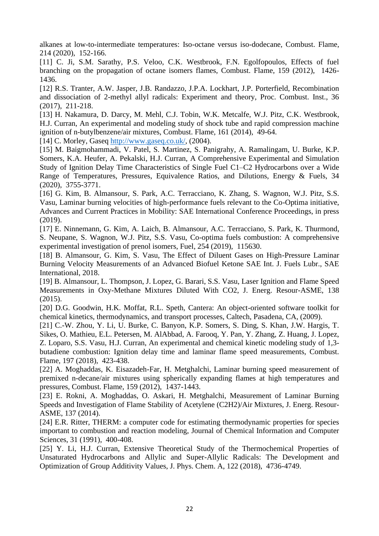alkanes at low-to-intermediate temperatures: Iso-octane versus iso-dodecane, Combust. Flame, 214 (2020), 152-166.

[11] C. Ji, S.M. Sarathy, P.S. Veloo, C.K. Westbrook, F.N. Egolfopoulos, Effects of fuel branching on the propagation of octane isomers flames, Combust. Flame, 159 (2012), 1426- 1436.

[12] R.S. Tranter, A.W. Jasper, J.B. Randazzo, J.P.A. Lockhart, J.P. Porterfield, Recombination and dissociation of 2-methyl allyl radicals: Experiment and theory, Proc. Combust. Inst., 36 (2017), 211-218.

[13] H. Nakamura, D. Darcy, M. Mehl, C.J. Tobin, W.K. Metcalfe, W.J. Pitz, C.K. Westbrook, H.J. Curran, An experimental and modeling study of shock tube and rapid compression machine ignition of n-butylbenzene/air mixtures, Combust. Flame, 161 (2014), 49-64.

[14] C. Morley, Gaseq [http://www.gaseq.co.uk/,](http://www.gaseq.co.uk/)  $(2004)$ .

[15] M. Baigmohammadi, V. Patel, S. Martinez, S. Panigrahy, A. Ramalingam, U. Burke, K.P. Somers, K.A. Heufer, A. Pekalski, H.J. Curran, A Comprehensive Experimental and Simulation Study of Ignition Delay Time Characteristics of Single Fuel C1–C2 Hydrocarbons over a Wide Range of Temperatures, Pressures, Equivalence Ratios, and Dilutions, Energy & Fuels, 34 (2020), 3755-3771.

[16] G. Kim, B. Almansour, S. Park, A.C. Terracciano, K. Zhang, S. Wagnon, W.J. Pitz, S.S. Vasu, Laminar burning velocities of high-performance fuels relevant to the Co-Optima initiative, Advances and Current Practices in Mobility: SAE International Conference Proceedings, in press (2019).

[17] E. Ninnemann, G. Kim, A. Laich, B. Almansour, A.C. Terracciano, S. Park, K. Thurmond, S. Neupane, S. Wagnon, W.J. Pitz, S.S. Vasu, Co-optima fuels combustion: A comprehensive experimental investigation of prenol isomers, Fuel, 254 (2019), 115630.

[18] B. Almansour, G. Kim, S. Vasu, The Effect of Diluent Gases on High-Pressure Laminar Burning Velocity Measurements of an Advanced Biofuel Ketone SAE Int. J. Fuels Lubr., SAE International, 2018.

[19] B. Almansour, L. Thompson, J. Lopez, G. Barari, S.S. Vasu, Laser Ignition and Flame Speed Measurements in Oxy-Methane Mixtures Diluted With CO2, J. Energ. Resour-ASME, 138 (2015).

[20] D.G. Goodwin, H.K. Moffat, R.L. Speth, Cantera: An object-oriented software toolkit for chemical kinetics, thermodynamics, and transport processes, Caltech, Pasadena, CA, (2009).

[21] C.-W. Zhou, Y. Li, U. Burke, C. Banyon, K.P. Somers, S. Ding, S. Khan, J.W. Hargis, T. Sikes, O. Mathieu, E.L. Petersen, M. AlAbbad, A. Farooq, Y. Pan, Y. Zhang, Z. Huang, J. Lopez, Z. Loparo, S.S. Vasu, H.J. Curran, An experimental and chemical kinetic modeling study of 1,3 butadiene combustion: Ignition delay time and laminar flame speed measurements, Combust. Flame, 197 (2018), 423-438.

[22] A. Moghaddas, K. Eisazadeh-Far, H. Metghalchi, Laminar burning speed measurement of premixed n-decane/air mixtures using spherically expanding flames at high temperatures and pressures, Combust. Flame, 159 (2012), 1437-1443.

[23] E. Rokni, A. Moghaddas, O. Askari, H. Metghalchi, Measurement of Laminar Burning Speeds and Investigation of Flame Stability of Acetylene (C2H2)/Air Mixtures, J. Energ. Resour-ASME, 137 (2014).

[24] E.R. Ritter, THERM: a computer code for estimating thermodynamic properties for species important to combustion and reaction modeling, Journal of Chemical Information and Computer Sciences, 31 (1991), 400-408.

[25] Y. Li, H.J. Curran, Extensive Theoretical Study of the Thermochemical Properties of Unsaturated Hydrocarbons and Allylic and Super-Allylic Radicals: The Development and Optimization of Group Additivity Values, J. Phys. Chem. A, 122 (2018), 4736-4749.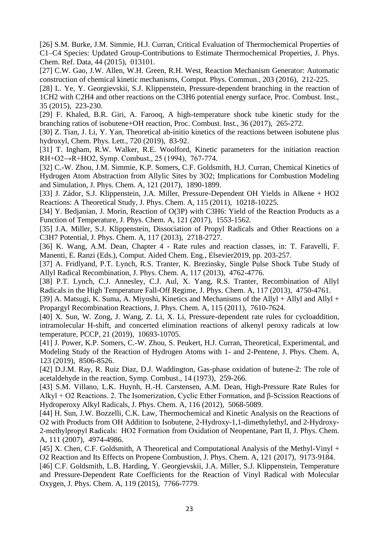[26] S.M. Burke, J.M. Simmie, H.J. Curran, Critical Evaluation of Thermochemical Properties of C1–C4 Species: Updated Group-Contributions to Estimate Thermochemical Properties, J. Phys. Chem. Ref. Data, 44 (2015), 013101.

[27] C.W. Gao, J.W. Allen, W.H. Green, R.H. West, Reaction Mechanism Generator: Automatic construction of chemical kinetic mechanisms, Comput. Phys. Commun., 203 (2016), 212-225.

[28] L. Ye, Y. Georgievskii, S.J. Klippenstein, Pressure-dependent branching in the reaction of 1CH2 with C2H4 and other reactions on the C3H6 potential energy surface, Proc. Combust. Inst., 35 (2015), 223-230.

[29] F. Khaled, B.R. Giri, A. Farooq, A high-temperature shock tube kinetic study for the branching ratios of isobutene+OH reaction, Proc. Combust. Inst., 36 (2017), 265-272.

[30] Z. Tian, J. Li, Y. Yan, Theoretical ab-initio kinetics of the reactions between isobutene plus hydroxyl, Chem. Phys. Lett., 720 (2019), 83-92.

[31] T. Ingham, R.W. Walker, R.E. Woolford, Kinetic parameters for the initiation reaction RH+O2→R+HO2, Symp. Combust., 25 (1994), 767-774.

[32] C.-W. Zhou, J.M. Simmie, K.P. Somers, C.F. Goldsmith, H.J. Curran, Chemical Kinetics of Hydrogen Atom Abstraction from Allylic Sites by 3O2; Implications for Combustion Modeling and Simulation, J. Phys. Chem. A, 121 (2017), 1890-1899.

[33] J. Zádor, S.J. Klippenstein, J.A. Miller, Pressure-Dependent OH Yields in Alkene + HO2 Reactions: A Theoretical Study, J. Phys. Chem. A, 115 (2011), 10218-10225.

[34] Y. Bedjanian, J. Morin, Reaction of O(3P) with C3H6: Yield of the Reaction Products as a Function of Temperature, J. Phys. Chem. A, 121 (2017), 1553-1562.

[35] J.A. Miller, S.J. Klippenstein, Dissociation of Propyl Radicals and Other Reactions on a C3H7 Potential, J. Phys. Chem. A, 117 (2013), 2718-2727.

[36] K. Wang, A.M. Dean, Chapter 4 - Rate rules and reaction classes, in: T. Faravelli, F. Manenti, E. Ranzi (Eds.), Comput. Aided Chem. Eng., Elsevier2019, pp. 203-257.

[37] A. Fridlyand, P.T. Lynch, R.S. Tranter, K. Brezinsky, Single Pulse Shock Tube Study of Allyl Radical Recombination, J. Phys. Chem. A, 117 (2013), 4762-4776.

[38] P.T. Lynch, C.J. Annesley, C.J. Aul, X. Yang, R.S. Tranter, Recombination of Allyl Radicals in the High Temperature Fall-Off Regime, J. Phys. Chem. A, 117 (2013), 4750-4761.

[39] A. Matsugi, K. Suma, A. Miyoshi, Kinetics and Mechanisms of the Allyl + Allyl and Allyl + Propargyl Recombination Reactions, J. Phys. Chem. A, 115 (2011), 7610-7624.

[40] X. Sun, W. Zong, J. Wang, Z. Li, X. Li, Pressure-dependent rate rules for cycloaddition, intramolecular H-shift, and concerted elimination reactions of alkenyl peroxy radicals at low temperature, PCCP, 21 (2019), 10693-10705.

[41] J. Power, K.P. Somers, C.-W. Zhou, S. Peukert, H.J. Curran, Theoretical, Experimental, and Modeling Study of the Reaction of Hydrogen Atoms with 1- and 2-Pentene, J. Phys. Chem. A, 123 (2019), 8506-8526.

[42] D.J.M. Ray, R. Ruiz Diaz, D.J. Waddington, Gas-phase oxidation of butene-2: The role of acetaldehyde in the reaction, Symp. Combust., 14 (1973), 259-266.

[43] S.M. Villano, L.K. Huynh, H.-H. Carstensen, A.M. Dean, High-Pressure Rate Rules for Alkyl + O2 Reactions. 2. The Isomerization, Cyclic Ether Formation, and β-Scission Reactions of Hydroperoxy Alkyl Radicals, J. Phys. Chem. A, 116 (2012), 5068-5089.

[44] H. Sun, J.W. Bozzelli, C.K. Law, Thermochemical and Kinetic Analysis on the Reactions of O2 with Products from OH Addition to Isobutene, 2-Hydroxy-1,1-dimethylethyl, and 2-Hydroxy-2-methylpropyl Radicals:  HO2 Formation from Oxidation of Neopentane, Part II, J. Phys. Chem. A, 111 (2007), 4974-4986.

[45] X. Chen, C.F. Goldsmith, A Theoretical and Computational Analysis of the Methyl-Vinyl + O2 Reaction and Its Effects on Propene Combustion, J. Phys. Chem. A, 121 (2017), 9173-9184.

[46] C.F. Goldsmith, L.B. Harding, Y. Georgievskii, J.A. Miller, S.J. Klippenstein, Temperature and Pressure-Dependent Rate Coefficients for the Reaction of Vinyl Radical with Molecular Oxygen, J. Phys. Chem. A, 119 (2015), 7766-7779.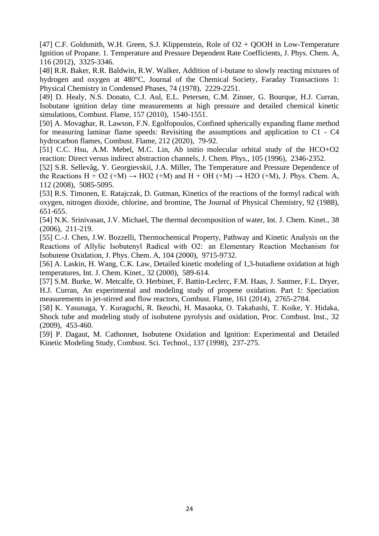[47] C.F. Goldsmith, W.H. Green, S.J. Klippenstein, Role of  $O2 + QOOH$  in Low-Temperature Ignition of Propane. 1. Temperature and Pressure Dependent Rate Coefficients, J. Phys. Chem. A, 116 (2012), 3325-3346.

[48] R.R. Baker, R.R. Baldwin, R.W. Walker, Addition of i-butane to slowly reacting mixtures of hydrogen and oxygen at 480°C, Journal of the Chemical Society, Faraday Transactions 1: Physical Chemistry in Condensed Phases, 74 (1978), 2229-2251.

[49] D. Healy, N.S. Donato, C.J. Aul, E.L. Petersen, C.M. Zinner, G. Bourque, H.J. Curran, Isobutane ignition delay time measurements at high pressure and detailed chemical kinetic simulations, Combust. Flame, 157 (2010), 1540-1551.

[50] A. Movaghar, R. Lawson, F.N. Egolfopoulos, Confined spherically expanding flame method for measuring laminar flame speeds: Revisiting the assumptions and application to C1 - C4 hydrocarbon flames, Combust. Flame, 212 (2020), 79-92.

[51] C.C. Hsu, A.M. Mebel, M.C. Lin, Ab initio molecular orbital study of the HCO+O2 reaction: Direct versus indirect abstraction channels, J. Chem. Phys., 105 (1996), 2346-2352.

[52] S.R. Sellevåg, Y. Georgievskii, J.A. Miller, The Temperature and Pressure Dependence of the Reactions H + O2 (+M)  $\rightarrow$  HO2 (+M) and H + OH (+M)  $\rightarrow$  H2O (+M), J. Phys. Chem. A, 112 (2008), 5085-5095.

[53] R.S. Timonen, E. Ratajczak, D. Gutman, Kinetics of the reactions of the formyl radical with oxygen, nitrogen dioxide, chlorine, and bromine, The Journal of Physical Chemistry, 92 (1988), 651-655.

[54] N.K. Srinivasan, J.V. Michael, The thermal decomposition of water, Int. J. Chem. Kinet., 38 (2006), 211-219.

[55] C.-J. Chen, J.W. Bozzelli, Thermochemical Property, Pathway and Kinetic Analysis on the Reactions of Allylic Isobutenyl Radical with O2:  an Elementary Reaction Mechanism for Isobutene Oxidation, J. Phys. Chem. A, 104 (2000), 9715-9732.

[56] A. Laskin, H. Wang, C.K. Law, Detailed kinetic modeling of 1,3-butadiene oxidation at high temperatures, Int. J. Chem. Kinet., 32 (2000), 589-614.

[57] S.M. Burke, W. Metcalfe, O. Herbinet, F. Battin-Leclerc, F.M. Haas, J. Santner, F.L. Dryer, H.J. Curran, An experimental and modeling study of propene oxidation. Part 1: Speciation measurements in jet-stirred and flow reactors, Combust. Flame, 161 (2014), 2765-2784.

[58] K. Yasunaga, Y. Kuraguchi, R. Ikeuchi, H. Masaoka, O. Takahashi, T. Koike, Y. Hidaka, Shock tube and modeling study of isobutene pyrolysis and oxidation, Proc. Combust. Inst., 32 (2009), 453-460.

[59] P. Dagaut, M. Cathonnet, Isobutene Oxidation and Ignition: Experimental and Detailed Kinetic Modeling Study, Combust. Sci. Technol., 137 (1998), 237-275.